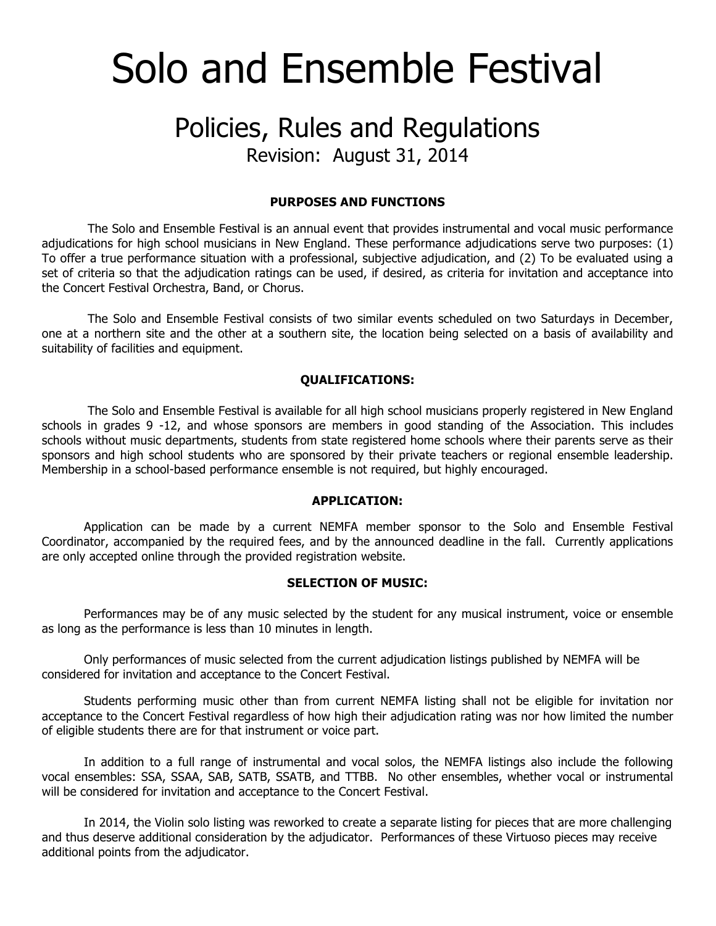# Solo and Ensemble Festival

# Policies, Rules and Regulations

Revision: August 31, 2014

## **PURPOSES AND FUNCTIONS**

The Solo and Ensemble Festival is an annual event that provides instrumental and vocal music performance adjudications for high school musicians in New England. These performance adjudications serve two purposes: (1) To offer a true performance situation with a professional, subjective adjudication, and (2) To be evaluated using a set of criteria so that the adjudication ratings can be used, if desired, as criteria for invitation and acceptance into the Concert Festival Orchestra, Band, or Chorus.

The Solo and Ensemble Festival consists of two similar events scheduled on two Saturdays in December, one at a northern site and the other at a southern site, the location being selected on a basis of availability and suitability of facilities and equipment.

# **QUALIFICATIONS:**

The Solo and Ensemble Festival is available for all high school musicians properly registered in New England schools in grades 9 -12, and whose sponsors are members in good standing of the Association. This includes schools without music departments, students from state registered home schools where their parents serve as their sponsors and high school students who are sponsored by their private teachers or regional ensemble leadership. Membership in a school-based performance ensemble is not required, but highly encouraged.

### **APPLICATION:**

Application can be made by a current NEMFA member sponsor to the Solo and Ensemble Festival Coordinator, accompanied by the required fees, and by the announced deadline in the fall. Currently applications are only accepted online through the provided registration website.

#### **SELECTION OF MUSIC:**

Performances may be of any music selected by the student for any musical instrument, voice or ensemble as long as the performance is less than 10 minutes in length.

Only performances of music selected from the current adjudication listings published by NEMFA will be considered for invitation and acceptance to the Concert Festival.

Students performing music other than from current NEMFA listing shall not be eligible for invitation nor acceptance to the Concert Festival regardless of how high their adjudication rating was nor how limited the number of eligible students there are for that instrument or voice part.

In addition to a full range of instrumental and vocal solos, the NEMFA listings also include the following vocal ensembles: SSA, SSAA, SAB, SATB, SSATB, and TTBB. No other ensembles, whether vocal or instrumental will be considered for invitation and acceptance to the Concert Festival.

In 2014, the Violin solo listing was reworked to create a separate listing for pieces that are more challenging and thus deserve additional consideration by the adjudicator. Performances of these Virtuoso pieces may receive additional points from the adjudicator.